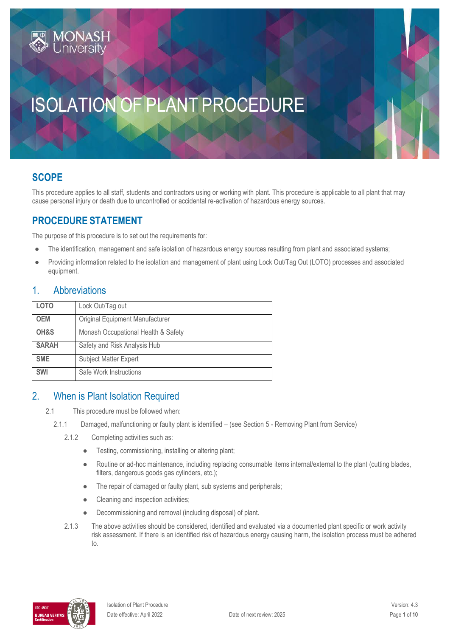# ISOLATION OF PLANT PROCEDURE

## **SCOPE**

This procedure applies to all staff, students and contractors using or working with plant. This procedure is applicable to all plant that may cause personal injury or death due to uncontrolled or accidental re-activation of hazardous energy sources.

## **PROCEDURE STATEMENT**

The purpose of this procedure is to set out the requirements for:

- The identification, management and safe isolation of hazardous energy sources resulting from plant and associated systems;
- Providing information related to the isolation and management of plant using Lock Out/Tag Out (LOTO) processes and associated equipment.

#### 1. Abbreviations

| <b>LOTO</b>  | Lock Out/Tag out                    |  |
|--------------|-------------------------------------|--|
| <b>OEM</b>   | Original Equipment Manufacturer     |  |
| OH&S         | Monash Occupational Health & Safety |  |
| <b>SARAH</b> | Safety and Risk Analysis Hub        |  |
| <b>SME</b>   | Subject Matter Expert               |  |
| <b>SWI</b>   | Safe Work Instructions              |  |

### 2. When is Plant Isolation Required

- 2.1 This procedure must be followed when:
	- 2.1.1 Damaged, malfunctioning or faulty plant is identified (see Section 5 Removing Plant from Service)
		- 2.1.2 Completing activities such as:
			- Testing, commissioning, installing or altering plant;
			- Routine or ad-hoc maintenance, including replacing consumable items internal/external to the plant (cutting blades, filters, dangerous goods gas cylinders, etc.);
			- The repair of damaged or faulty plant, sub systems and peripherals;
			- Cleaning and inspection activities;
			- Decommissioning and removal (including disposal) of plant.
		- 2.1.3 The above activities should be considered, identified and evaluated via a documented plant specific or work activity risk assessment. If there is an identified risk of hazardous energy causing harm, the isolation process must be adhered to.

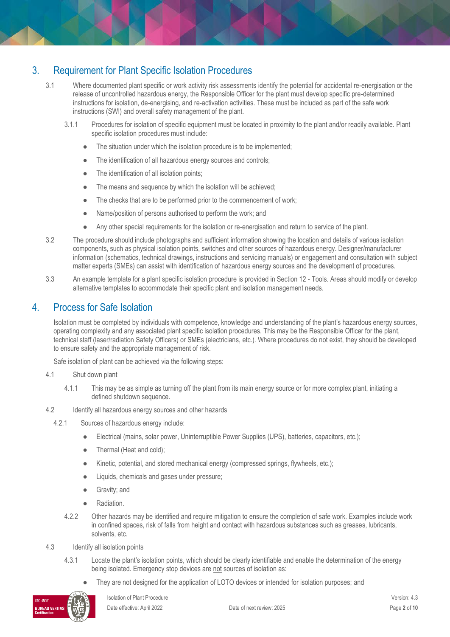## 3. Requirement for Plant Specific Isolation Procedures

- 3.1 Where documented plant specific or work activity risk assessments identify the potential for accidental re-energisation or the release of uncontrolled hazardous energy, the Responsible Officer for the plant must develop specific pre-determined instructions for isolation, de-energising, and re-activation activities. These must be included as part of the safe work instructions (SWI) and overall safety management of the plant.
	- 3.1.1 Procedures for isolation of specific equipment must be located in proximity to the plant and/or readily available. Plant specific isolation procedures must include:
		- The situation under which the isolation procedure is to be implemented;
		- The identification of all hazardous energy sources and controls;
		- The identification of all isolation points;
		- The means and sequence by which the isolation will be achieved;
		- The checks that are to be performed prior to the commencement of work;
		- Name/position of persons authorised to perform the work; and
		- Any other special requirements for the isolation or re-energisation and return to service of the plant.
- 3.2 The procedure should include photographs and sufficient information showing the location and details of various isolation components, such as physical isolation points, switches and other sources of hazardous energy. Designer/manufacturer information (schematics, technical drawings, instructions and servicing manuals) or engagement and consultation with subject matter experts (SMEs) can assist with identification of hazardous energy sources and the development of procedures.
- 3.3 An example template for a plant specific isolation procedure is provided in Section 12 Tools. Areas should modify or develop alternative templates to accommodate their specific plant and isolation management needs.

#### 4. Process for Safe Isolation

Isolation must be completed by individuals with competence, knowledge and understanding of the plant's hazardous energy sources, operating complexity and any associated plant specific isolation procedures. This may be the Responsible Officer for the plant, technical staff (laser/radiation Safety Officers) or SMEs (electricians, etc.). Where procedures do not exist, they should be developed to ensure safety and the appropriate management of risk.

Safe isolation of plant can be achieved via the following steps:

- 4.1 Shut down plant
	- 4.1.1 This may be as simple as turning off the plant from its main energy source or for more complex plant, initiating a defined shutdown sequence.
- 4.2 Identify all hazardous energy sources and other hazards
	- 4.2.1 Sources of hazardous energy include:
		- Electrical (mains, solar power, Uninterruptible Power Supplies (UPS), batteries, capacitors, etc.);
		- Thermal (Heat and cold);
		- Kinetic, potential, and stored mechanical energy (compressed springs, flywheels, etc.);
		- Liquids, chemicals and gases under pressure;
		- **•** Gravity; and
		- Radiation.
		- 4.2.2 Other hazards may be identified and require mitigation to ensure the completion of safe work. Examples include work in confined spaces, risk of falls from height and contact with hazardous substances such as greases, lubricants, solvents, etc.
- 4.3 Identify all isolation points
	- 4.3.1 Locate the plant's isolation points, which should be clearly identifiable and enable the determination of the energy being isolated. Emergency stop devices are not sources of isolation as:
		- They are not designed for the application of LOTO devices or intended for isolation purposes; and

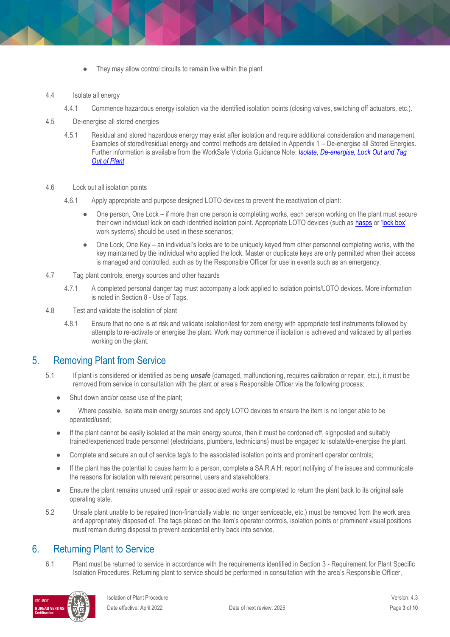- They may allow control circuits to remain live within the plant.
- 4.4 Isolate all energy
	- 4.4.1 Commence hazardous energy isolation via the identified isolation points (closing valves, switching off actuators, etc.).
- 4.5 De-energise all stored energies
	- 4.5.1 Residual and stored hazardous energy may exist after isolation and require additional consideration and management. Examples of stored/residual energy and control methods are detailed in Appendix 1 – De-energise all Stored Energies*.*  Further information is available from the WorkSafe Victoria Guidance Note: *[Isolate, De-energise, Lock Out and Tag](https://www.worksafe.vic.gov.au/isolate-de-energise-lockout-and-tagout-plant)  [Out of Plant](https://www.worksafe.vic.gov.au/isolate-de-energise-lockout-and-tagout-plant)*
- 4.6 Lock out all isolation points
	- 4.6.1 Apply appropriate and purpose designed LOTO devices to prevent the reactivation of plant:
		- One person, One Lock if more than one person is completing works, each person working on the plant must secure their own individual lock on each identified isolation point. Appropriate LOTO devices (such as [hasps](https://www.youtube.com/watch?v=riRB22I1H0M) or '[lock box](https://www.youtube.com/watch?v=zMlYShIomWM)' work systems) should be used in these scenarios;
		- One Lock, One Key an individual's locks are to be uniquely keyed from other personnel completing works, with the key maintained by the individual who applied the lock. Master or duplicate keys are only permitted when their access is managed and controlled, such as by the Responsible Officer for use in events such as an emergency.
- 4.7 Tag plant controls, energy sources and other hazards
	- 4.7.1 A completed personal danger tag must accompany a lock applied to isolation points/LOTO devices. More information is noted in Section 8 - Use of Tags.
- 4.8 Test and validate the isolation of plant
	- 4.8.1 Ensure that no one is at risk and validate isolation/test for zero energy with appropriate test instruments followed by attempts to re-activate or energise the plant. Work may commence if isolation is achieved and validated by all parties working on the plant.

### 5. Removing Plant from Service

- 5.1 If plant is considered or identified as being *unsafe* (damaged, malfunctioning, requires calibration or repair, etc.), it must be removed from service in consultation with the plant or area's Responsible Officer via the following process:
	- Shut down and/or cease use of the plant:
	- Where possible, isolate main energy sources and apply LOTO devices to ensure the item is no longer able to be operated/used;
	- If the plant cannot be easily isolated at the main energy source, then it must be cordoned off, signposted and suitably trained/experienced trade personnel (electricians, plumbers, technicians) must be engaged to isolate/de-energise the plant.
	- Complete and secure an out of service tag/s to the associated isolation points and prominent operator controls;
	- If the plant has the potential to cause harm to a person, complete a SA.R.A.H. report notifying of the issues and communicate the reasons for isolation with relevant personnel, users and stakeholders;
	- Ensure the plant remains unused until repair or associated works are completed to return the plant back to its original safe operating state.
- 5.2 Unsafe plant unable to be repaired (non-financially viable, no longer serviceable, etc.) must be removed from the work area and appropriately disposed of. The tags placed on the item's operator controls, isolation points or prominent visual positions must remain during disposal to prevent accidental entry back into service.

#### 6. Returning Plant to Service

6.1 Plant must be returned to service in accordance with the requirements identified in Section 3 - Requirement for Plant Specific Isolation Procedures. Returning plant to service should be performed in consultation with the area's Responsible Officer,

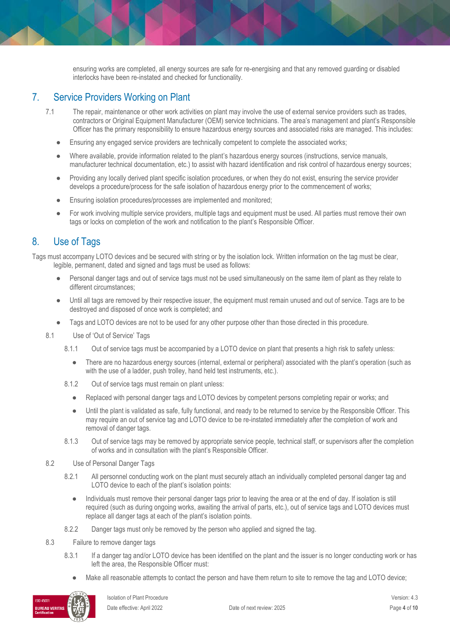ensuring works are completed, all energy sources are safe for re-energising and that any removed guarding or disabled interlocks have been re-instated and checked for functionality.

## 7. Service Providers Working on Plant

- 7.1 The repair, maintenance or other work activities on plant may involve the use of external service providers such as trades, contractors or Original Equipment Manufacturer (OEM) service technicians. The area's management and plant's Responsible Officer has the primary responsibility to ensure hazardous energy sources and associated risks are managed. This includes:
	- Ensuring any engaged service providers are technically competent to complete the associated works;
	- Where available, provide information related to the plant's hazardous energy sources (instructions, service manuals, manufacturer technical documentation, etc.) to assist with hazard identification and risk control of hazardous energy sources;
	- Providing any locally derived plant specific isolation procedures, or when they do not exist, ensuring the service provider develops a procedure/process for the safe isolation of hazardous energy prior to the commencement of works;
	- Ensuring isolation procedures/processes are implemented and monitored;
	- For work involving multiple service providers, multiple tags and equipment must be used. All parties must remove their own tags or locks on completion of the work and notification to the plant's Responsible Officer.

## 8. Use of Tags

Tags must accompany LOTO devices and be secured with string or by the isolation lock. Written information on the tag must be clear, legible, permanent, dated and signed and tags must be used as follows:

- Personal danger tags and out of service tags must not be used simultaneously on the same item of plant as they relate to different circumstances;
- Until all tags are removed by their respective issuer, the equipment must remain unused and out of service. Tags are to be destroyed and disposed of once work is completed; and
- Tags and LOTO devices are not to be used for any other purpose other than those directed in this procedure.
- 8.1 Use of 'Out of Service' Tags
	- 8.1.1 Out of service tags must be accompanied by a LOTO device on plant that presents a high risk to safety unless:
		- There are no hazardous energy sources (internal, external or peripheral) associated with the plant's operation (such as with the use of a ladder, push trolley, hand held test instruments, etc.).
	- 8.1.2 Out of service tags must remain on plant unless:
		- Replaced with personal danger tags and LOTO devices by competent persons completing repair or works; and
		- Until the plant is validated as safe, fully functional, and ready to be returned to service by the Responsible Officer. This may require an out of service tag and LOTO device to be re-instated immediately after the completion of work and removal of danger tags.
	- 8.1.3 Out of service tags may be removed by appropriate service people, technical staff, or supervisors after the completion of works and in consultation with the plant's Responsible Officer.
- 8.2 Use of Personal Danger Tags
	- 8.2.1 All personnel conducting work on the plant must securely attach an individually completed personal danger tag and LOTO device to each of the plant's isolation points:
		- Individuals must remove their personal danger tags prior to leaving the area or at the end of day. If isolation is still required (such as during ongoing works, awaiting the arrival of parts, etc.), out of service tags and LOTO devices must replace all danger tags at each of the plant's isolation points.
	- 8.2.2 Danger tags must only be removed by the person who applied and signed the tag.
- 8.3 Failure to remove danger tags
	- 8.3.1 If a danger tag and/or LOTO device has been identified on the plant and the issuer is no longer conducting work or has left the area, the Responsible Officer must:
		- Make all reasonable attempts to contact the person and have them return to site to remove the tag and LOTO device;

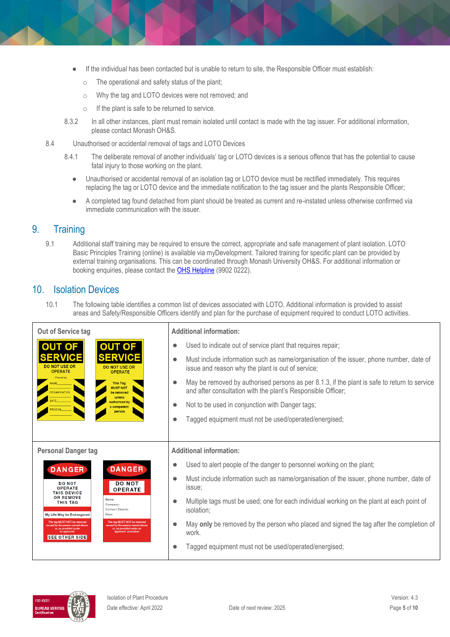- If the individual has been contacted but is unable to return to site, the Responsible Officer must establish:
	- o The operational and safety status of the plant;
	- o Why the tag and LOTO devices were not removed; and
	- o If the plant is safe to be returned to service.
- 8.3.2 In all other instances, plant must remain isolated until contact is made with the tag issuer. For additional information, please contact Monash OH&S.
- 8.4 Unauthorised or accidental removal of tags and LOTO Devices
	- 8.4.1 The deliberate removal of another individuals' tag or LOTO devices is a serious offence that has the potential to cause fatal injury to those working on the plant.
		- Unauthorised or accidental removal of an isolation tag or LOTO device must be rectified immediately. This requires replacing the tag or LOTO device and the immediate notification to the tag issuer and the plants Responsible Officer;
		- A completed tag found detached from plant should be treated as current and re-instated unless otherwise confirmed via immediate communication with the issuer.

### 9. Training

9.1 Additional staff training may be required to ensure the correct, appropriate and safe management of plant isolation. LOTO Basic Principles Training (online) is available via myDevelopment. Tailored training for specific plant can be provided by external training organisations. This can be coordinated through Monash University OH&S. For additional information or booking enquiries, please contact th[e OHS Helpline](mailto:ohshelpline@monash.edu) (9902 0222).

### 10. Isolation Devices

10.1 The following table identifies a common list of devices associated with LOTO. Additional information is provided to assist areas and Safety/Responsible Officers identify and plan for the purchase of equipment required to conduct LOTO activities.

| Out of Service tag                                                                                                                                                                                                             | <b>Additional information:</b>                                                                                                                                            |
|--------------------------------------------------------------------------------------------------------------------------------------------------------------------------------------------------------------------------------|---------------------------------------------------------------------------------------------------------------------------------------------------------------------------|
| <b>OUT OF</b><br>UT OF                                                                                                                                                                                                         | Used to indicate out of service plant that requires repair;<br>$\bullet$                                                                                                  |
| SERVIC<br><b>DO NOT USE OR</b><br><b>DO NOT USE OR</b><br><b>OPERATE</b><br><b>OPERATE</b>                                                                                                                                     | Must include information such as name/organisation of the issuer, phone number, date of<br>$\bullet$<br>issue and reason why the plant is out of service;                 |
| Placed by:<br><b>This Tag</b><br><b>MUST NOT</b><br>PRGANISATION<br>be removed<br>unless                                                                                                                                       | May be removed by authorised persons as per 8.1.3, if the plant is safe to return to service<br>$\bullet$<br>and after consultation with the plant's Responsible Officer; |
| authorised by<br>a competent<br>EASON<br>person                                                                                                                                                                                | Not to be used in conjunction with Danger tags;<br>$\bullet$                                                                                                              |
|                                                                                                                                                                                                                                | Tagged equipment must not be used/operated/energised;<br>$\bullet$                                                                                                        |
|                                                                                                                                                                                                                                |                                                                                                                                                                           |
| <b>Personal Danger tag</b>                                                                                                                                                                                                     | <b>Additional information:</b>                                                                                                                                            |
| <b>DANGER</b><br><b>DANGER</b>                                                                                                                                                                                                 | Used to alert people of the danger to personnel working on the plant;<br>$\bullet$                                                                                        |
|                                                                                                                                                                                                                                |                                                                                                                                                                           |
| <b>DO NOT</b><br><b>DO NOT</b><br><b>OPERATE</b><br><b>OPERATE</b><br><b>THIS DEVICE</b>                                                                                                                                       | Must include information such as name/organisation of the issuer, phone number, date of<br>$\bullet$<br>issue:                                                            |
| <b>OR REMOVE</b><br>Name:<br><b>THIS TAG</b><br>Company:<br><b>Contact Details:</b><br>My Life May be Endangered<br>Date:                                                                                                      | Multiple tags must be used; one for each individual working on the plant at each point of<br>$\bullet$<br>isolation;                                                      |
| This tag MUST NOT be removed<br>This tag MUST NOT be remove<br>except by the person named above<br>except by the person named abi<br>or, as provided under<br>or, as provided under at<br>an approved<br><b>SEE OTHER SIDE</b> | May only be removed by the person who placed and signed the tag after the completion of<br>work.                                                                          |

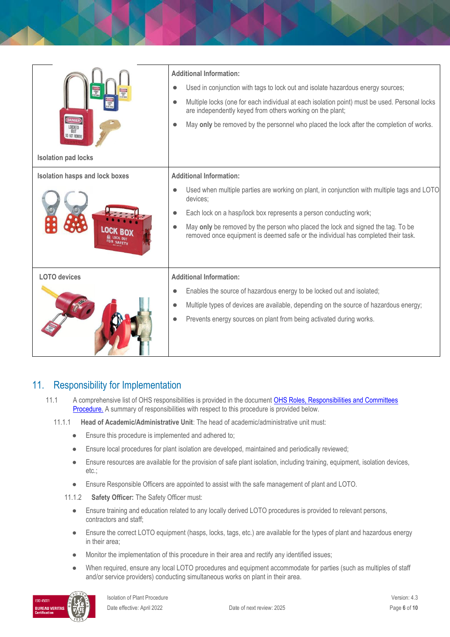| DANGER<br>LOCKED<br>OUT<br>DO NOT REMOVE<br><b>Isolation pad locks</b> | <b>Additional Information:</b><br>Used in conjunction with tags to lock out and isolate hazardous energy sources;<br>Multiple locks (one for each individual at each isolation point) must be used. Personal locks<br>are independently keyed from others working on the plant;<br>May only be removed by the personnel who placed the lock after the completion of works.             |
|------------------------------------------------------------------------|----------------------------------------------------------------------------------------------------------------------------------------------------------------------------------------------------------------------------------------------------------------------------------------------------------------------------------------------------------------------------------------|
| <b>Isolation hasps and lock boxes</b>                                  | <b>Additional Information:</b><br>Used when multiple parties are working on plant, in conjunction with multiple tags and LOTO<br>devices;<br>Each lock on a hasp/lock box represents a person conducting work;<br>May only be removed by the person who placed the lock and signed the tag. To be<br>removed once equipment is deemed safe or the individual has completed their task. |
| <b>LOTO</b> devices                                                    | <b>Additional Information:</b><br>Enables the source of hazardous energy to be locked out and isolated;<br>Multiple types of devices are available, depending on the source of hazardous energy;<br>Prevents energy sources on plant from being activated during works.                                                                                                                |

## 11. Responsibility for Implementation

11.1 A comprehensive list of OHS responsibilities is provided in the document OHS Roles, Responsibilities and Committees [Procedure.](https://publicpolicydms.monash.edu/Monash/documents/1935644) A summary of responsibilities with respect to this procedure is provided below.

#### 11.1.1 **Head of Academic/Administrative Unit**: The head of academic/administrative unit must:

- Ensure this procedure is implemented and adhered to:
- Ensure local procedures for plant isolation are developed, maintained and periodically reviewed;
- Ensure resources are available for the provision of safe plant isolation, including training, equipment, isolation devices, etc.;
- Ensure Responsible Officers are appointed to assist with the safe management of plant and LOTO.
- 11.1.2 **Safety Officer:** The Safety Officer must:
	- Ensure training and education related to any locally derived LOTO procedures is provided to relevant persons, contractors and staff;
	- Ensure the correct LOTO equipment (hasps, locks, tags, etc.) are available for the types of plant and hazardous energy in their area;
	- Monitor the implementation of this procedure in their area and rectify any identified issues;
	- When required, ensure any local LOTO procedures and equipment accommodate for parties (such as multiples of staff and/or service providers) conducting simultaneous works on plant in their area.

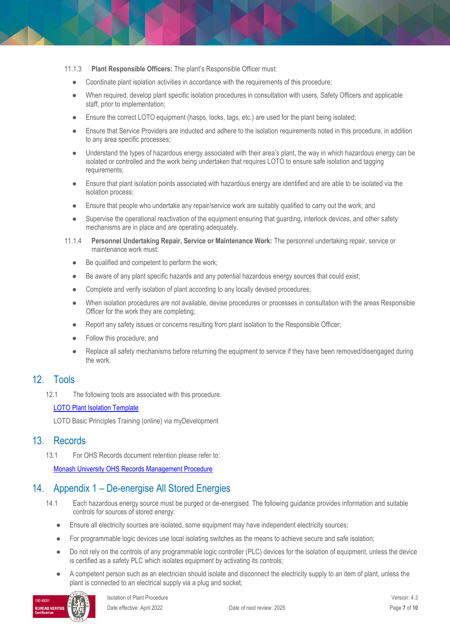- 11.1.3 **Plant Responsible Officers:** The plant's Responsible Officer must:
	- Coordinate plant isolation activities in accordance with the requirements of this procedure;
	- When required, develop plant specific isolation procedures in consultation with users, Safety Officers and applicable staff, prior to implementation;
	- Ensure the correct LOTO equipment (hasps, locks, tags, etc.) are used for the plant being isolated;
	- Ensure that Service Providers are inducted and adhere to the isolation requirements noted in this procedure, in addition to any area specific processes;
	- Understand the types of hazardous energy associated with their area's plant, the way in which hazardous energy can be isolated or controlled and the work being undertaken that requires LOTO to ensure safe isolation and tagging requirements;
	- Ensure that plant isolation points associated with hazardous energy are identified and are able to be isolated via the isolation process;
	- Ensure that people who undertake any repair/service work are suitably qualified to carry out the work; and
	- Supervise the operational reactivation of the equipment ensuring that guarding, interlock devices, and other safety mechanisms are in place and are operating adequately.
- 11.1.4 **Personnel Undertaking Repair, Service or Maintenance Work:** The personnel undertaking repair, service or maintenance work must:
	- Be qualified and competent to perform the work;
	- Be aware of any plant specific hazards and any potential hazardous energy sources that could exist;
	- Complete and verify isolation of plant according to any locally devised procedures;
	- When isolation procedures are not available, devise procedures or processes in consultation with the areas Responsible Officer for the work they are completing;
	- Report any safety issues or concerns resulting from plant isolation to the Responsible Officer;
	- Follow this procedure; and
	- Replace all safety mechanisms before returning the equipment to service if they have been removed/disengaged during the work.

### 12. Tools

12.1 The following tools are associated with this procedure.

#### [LOTO Plant Isolation Template](https://www.monash.edu/__data/assets/word_doc/0020/2210852/loto-isolation-template.docx)

LOTO Basic Principles Training (online) via myDevelopment

#### 13. Records

13.1 For OHS Records document retention please refer to:

[Monash University OHS Records Management Procedure](https://publicpolicydms.monash.edu/Monash/documents/1935642)

## 14. Appendix 1 – De-energise All Stored Energies

- 14.1 Each hazardous energy source must be purged or de-energised. The following guidance provides information and suitable controls for sources of stored energy:
	- Ensure all electricity sources are isolated, some equipment may have independent electricity sources;
	- For programmable logic devices use local isolating switches as the means to achieve secure and safe isolation;
	- Do not rely on the controls of any programmable logic controller (PLC) devices for the isolation of equipment, unless the device is certified as a safety PLC which isolates equipment by activating its controls;
	- A competent person such as an electrician should isolate and disconnect the electricity supply to an item of plant, unless the plant is connected to an electrical supply via a plug and socket;

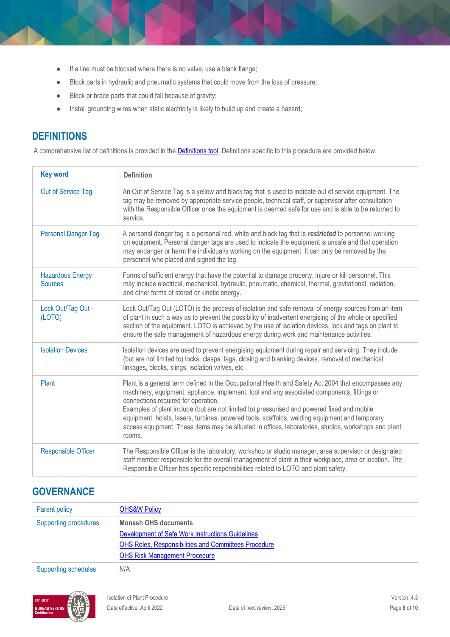- If a line must be blocked where there is no valve, use a blank flange;
- Block parts in hydraulic and pneumatic systems that could move from the loss of pressure;
- Block or brace parts that could fall because of gravity;
- Install grounding wires when static electricity is likely to build up and create a hazard;

## **DEFINITIONS**

A comprehensive list of definitions is provided in the **Definitions tool**. Definitions specific to this procedure are provided below.

| <b>Key word</b>                           | <b>Definition</b>                                                                                                                                                                                                                                                                                                                                                                                                                                                                                                                                            |
|-------------------------------------------|--------------------------------------------------------------------------------------------------------------------------------------------------------------------------------------------------------------------------------------------------------------------------------------------------------------------------------------------------------------------------------------------------------------------------------------------------------------------------------------------------------------------------------------------------------------|
| Out of Service Tag                        | An Out of Service Tag is a yellow and black tag that is used to indicate out of service equipment. The<br>tag may be removed by appropriate service people, technical staff, or supervisor after consultation<br>with the Responsible Officer once the equipment is deemed safe for use and is able to be returned to<br>service.                                                                                                                                                                                                                            |
| <b>Personal Danger Tag</b>                | A personal danger tag is a personal red, white and black tag that is restricted to personnel working<br>on equipment. Personal danger tags are used to indicate the equipment is unsafe and that operation<br>may endanger or harm the individual/s working on the equipment. It can only be removed by the<br>personnel who placed and signed the tag.                                                                                                                                                                                                      |
| <b>Hazardous Energy</b><br><b>Sources</b> | Forms of sufficient energy that have the potential to damage property, injure or kill personnel. This<br>may include electrical, mechanical, hydraulic, pneumatic, chemical, thermal, gravitational, radiation,<br>and other forms of stored or kinetic energy.                                                                                                                                                                                                                                                                                              |
| Lock Out/Tag Out -<br>(LOTO)              | Lock Out/Tag Out (LOTO) is the process of isolation and safe removal of energy sources from an item<br>of plant in such a way as to prevent the possibility of inadvertent energising of the whole or specified<br>section of the equipment. LOTO is achieved by the use of isolation devices, lock and tags on plant to<br>ensure the safe management of hazardous energy during work and maintenance activities.                                                                                                                                           |
| <b>Isolation Devices</b>                  | Isolation devices are used to prevent energising equipment during repair and servicing. They include<br>(but are not limited to) locks, clasps, tags, closing and blanking devices, removal of mechanical<br>linkages, blocks, slings, isolation valves, etc.                                                                                                                                                                                                                                                                                                |
| Plant                                     | Plant is a general term defined in the Occupational Health and Safety Act 2004 that encompasses any<br>machinery, equipment, appliance, implement, tool and any associated components, fittings or<br>connections required for operation.<br>Examples of plant include (but are not limited to) pressurised and powered fixed and mobile<br>equipment, hoists, lasers, turbines, powered tools, scaffolds, welding equipment and temporary<br>access equipment. These items may be situated in offices, laboratories, studios, workshops and plant<br>rooms. |
| <b>Responsible Officer</b>                | The Responsible Officer is the laboratory, workshop or studio manager, area supervisor or designated<br>staff member responsible for the overall management of plant in their workplace, area or location. The<br>Responsible Officer has specific responsibilities related to LOTO and plant safety.                                                                                                                                                                                                                                                        |

## **GOVERNANCE**

| Parent policy                | <b>OHS&amp;W Policy</b>                                     |  |
|------------------------------|-------------------------------------------------------------|--|
| <b>Supporting procedures</b> | <b>Monash OHS documents</b>                                 |  |
|                              | Development of Safe Work Instructions Guidelines            |  |
|                              | <b>OHS Roles, Responsibilities and Committees Procedure</b> |  |
|                              | <b>OHS Risk Management Procedure</b>                        |  |
| <b>Supporting schedules</b>  | N/A                                                         |  |

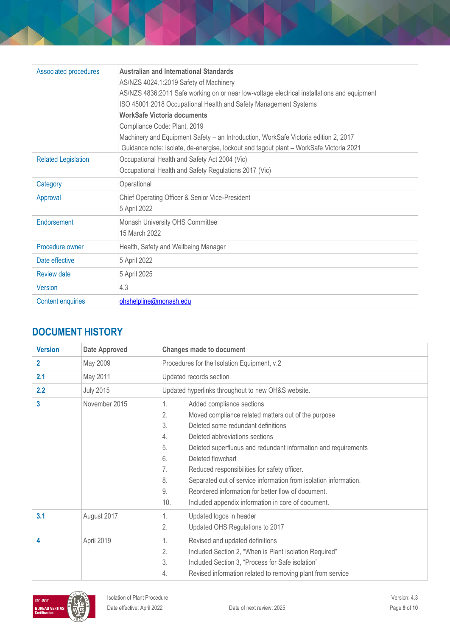| <b>Associated procedures</b> | Australian and International Standards                                                      |
|------------------------------|---------------------------------------------------------------------------------------------|
|                              | AS/NZS 4024.1:2019 Safety of Machinery                                                      |
|                              | AS/NZS 4836:2011 Safe working on or near low-voltage electrical installations and equipment |
|                              | ISO 45001:2018 Occupational Health and Safety Management Systems                            |
|                              | <b>WorkSafe Victoria documents</b>                                                          |
|                              | Compliance Code: Plant, 2019                                                                |
|                              | Machinery and Equipment Safety - an Introduction, WorkSafe Victoria edition 2, 2017         |
|                              | Guidance note: Isolate, de-energise, lockout and tagout plant - WorkSafe Victoria 2021      |
| <b>Related Legislation</b>   | Occupational Health and Safety Act 2004 (Vic)                                               |
|                              | Occupational Health and Safety Regulations 2017 (Vic)                                       |
| Category                     | Operational                                                                                 |
| Approval                     | Chief Operating Officer & Senior Vice-President                                             |
|                              | 5 April 2022                                                                                |
| Endorsement                  | Monash University OHS Committee                                                             |
|                              | 15 March 2022                                                                               |
| Procedure owner              | Health, Safety and Wellbeing Manager                                                        |
| Date effective               | 5 April 2022                                                                                |
| <b>Review date</b>           | 5 April 2025                                                                                |
| <b>Version</b>               | 4.3                                                                                         |
| <b>Content enquiries</b>     | ohshelpline@monash.edu                                                                      |

# **DOCUMENT HISTORY**

| <b>Version</b> | <b>Date Approved</b> | <b>Changes made to document</b>                                                                                                                                                                                                                                                                                                                                                                                                                                                                                                              |
|----------------|----------------------|----------------------------------------------------------------------------------------------------------------------------------------------------------------------------------------------------------------------------------------------------------------------------------------------------------------------------------------------------------------------------------------------------------------------------------------------------------------------------------------------------------------------------------------------|
| $\mathbf{2}$   | May 2009             | Procedures for the Isolation Equipment, v.2                                                                                                                                                                                                                                                                                                                                                                                                                                                                                                  |
| 2.1            | May 2011             | Updated records section                                                                                                                                                                                                                                                                                                                                                                                                                                                                                                                      |
| 2.2            | <b>July 2015</b>     | Updated hyperlinks throughout to new OH&S website.                                                                                                                                                                                                                                                                                                                                                                                                                                                                                           |
| 3              | November 2015        | Added compliance sections<br>1.<br>2.<br>Moved compliance related matters out of the purpose<br>3.<br>Deleted some redundant definitions<br>4.<br>Deleted abbreviations sections<br>5.<br>Deleted superfluous and redundant information and requirements<br>Deleted flowchart<br>6.<br>7.<br>Reduced responsibilities for safety officer.<br>8.<br>Separated out of service information from isolation information.<br>Reordered information for better flow of document.<br>9.<br>10.<br>Included appendix information in core of document. |
| 3.1            | August 2017          | 1.<br>Updated logos in header<br>2.<br>Updated OHS Regulations to 2017                                                                                                                                                                                                                                                                                                                                                                                                                                                                       |
| 4              | April 2019           | Revised and updated definitions<br>1.<br>2.<br>Included Section 2, "When is Plant Isolation Required"<br>3.<br>Included Section 3, "Process for Safe isolation"<br>Revised information related to removing plant from service<br>4.                                                                                                                                                                                                                                                                                                          |